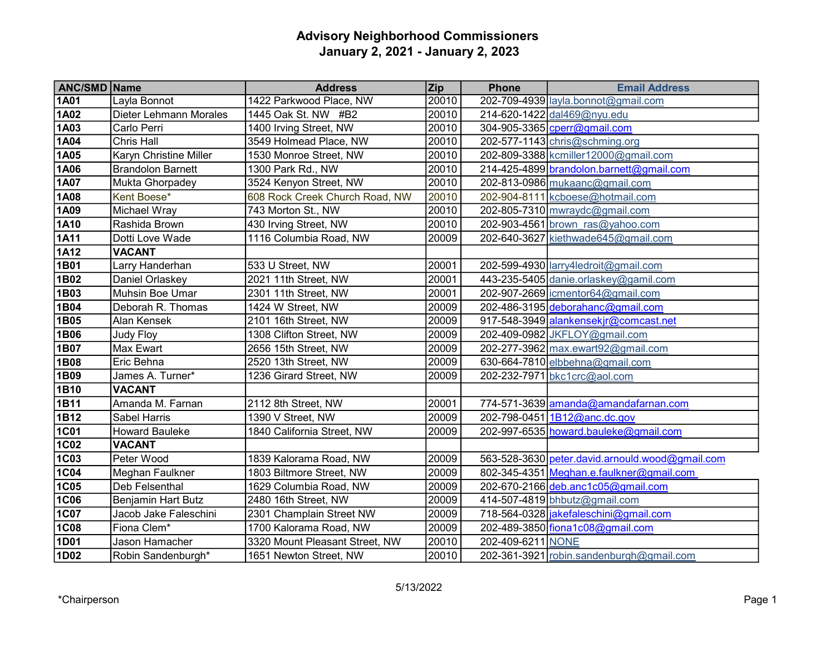| <b>ANC/SMD Name</b> |                           | <b>Address</b>                 | <b>Zip</b> | <b>Phone</b>      | <b>Email Address</b>                            |
|---------------------|---------------------------|--------------------------------|------------|-------------------|-------------------------------------------------|
| <b>1A01</b>         | Layla Bonnot              | 1422 Parkwood Place, NW        | 20010      |                   | 202-709-4939   layla.bonnot@gmail.com           |
| <b>1A02</b>         | Dieter Lehmann Morales    | 1445 Oak St. NW #B2            | 20010      |                   | 214-620-1422 dal469@nyu.edu                     |
| 1A03                | Carlo Perri               | 1400 Irving Street, NW         | 20010      |                   | 304-905-3365 cperr@gmail.com                    |
| <b>1A04</b>         | Chris Hall                | 3549 Holmead Place, NW         | 20010      |                   | 202-577-1143 chris@schming.org                  |
| 1A05                | Karyn Christine Miller    | 1530 Monroe Street, NW         | 20010      |                   | 202-809-3388 kcmiller12000@gmail.com            |
| <b>1A06</b>         | <b>Brandolon Barnett</b>  | 1300 Park Rd., NW              | 20010      |                   | 214-425-4899 brandolon.barnett@gmail.com        |
| <b>1A07</b>         | Mukta Ghorpadey           | 3524 Kenyon Street, NW         | 20010      |                   | 202-813-0986 mukaanc@gmail.com                  |
| <b>1A08</b>         | Kent Boese*               | 608 Rock Creek Church Road, NW | 20010      |                   | 202-904-8111 kcboese@hotmail.com                |
| 1A09                | Michael Wray              | 743 Morton St., NW             | 20010      |                   | $202 - 805 - 7310$ mwraydc@gmail.com            |
| <b>1A10</b>         | Rashida Brown             | 430 Irving Street, NW          | 20010      |                   | 202-903-4561 brown ras@yahoo.com                |
| <b>1A11</b>         | Dotti Love Wade           | 1116 Columbia Road, NW         | 20009      |                   | 202-640-3627 kiethwade645@gmail.com             |
| 1A12                | <b>VACANT</b>             |                                |            |                   |                                                 |
| 1B01                | Larry Handerhan           | 533 U Street, NW               | 20001      |                   | 202-599-4930 larry4ledroit@gmail.com            |
| 1B02                | Daniel Orlaskey           | 2021 11th Street, NW           | 20001      |                   | 443-235-5405 danie.orlaskey@gamil.com           |
| 1B03                | Muhsin Boe Umar           | 2301 11th Street, NW           | 20001      |                   | 202-907-2669 icmentor64@gmail.com               |
| 1B04                | Deborah R. Thomas         | 1424 W Street, NW              | 20009      |                   | 202-486-3195 deborahanc@gmail.com               |
| 1B05                | Alan Kensek               | 2101 16th Street, NW           | 20009      |                   | 917-548-3949 alankensekjr@comcast.net           |
| 1B06                | Judy Floy                 | 1308 Clifton Street, NW        | 20009      |                   | 202-409-0982 JKFLOY@gmail.com                   |
| 1B07                | Max Ewart                 | 2656 15th Street, NW           | 20009      |                   | 202-277-3962 max.ewart92@gmail.com              |
| 1B08                | Eric Behna                | 2520 13th Street, NW           | 20009      |                   | 630-664-7810 elbbehna@gmail.com                 |
| 1B09                | James A. Turner*          | 1236 Girard Street, NW         | 20009      |                   | 202-232-7971 bkc1crc@aol.com                    |
| 1B10                | <b>VACANT</b>             |                                |            |                   |                                                 |
| 1B11                | Amanda M. Farnan          | 2112 8th Street, NW            | 20001      |                   | 774-571-3639 amanda@amandafarnan.com            |
| 1B12                | Sabel Harris              | 1390 V Street, NW              | 20009      |                   | 202-798-0451 1B12@anc.dc.gov                    |
| <b>1C01</b>         | <b>Howard Bauleke</b>     | 1840 California Street, NW     | 20009      |                   | 202-997-6535 howard.bauleke@gmail.com           |
| <b>1C02</b>         | <b>VACANT</b>             |                                |            |                   |                                                 |
| <b>1C03</b>         | Peter Wood                | 1839 Kalorama Road, NW         | 20009      |                   | 563-528-3630 peter.david.arnould.wood@gmail.com |
| <b>1C04</b>         | Meghan Faulkner           | 1803 Biltmore Street, NW       | 20009      |                   | 802-345-4351 Meghan.e.faulkner@gmail.com        |
| 1C05                | Deb Felsenthal            | 1629 Columbia Road, NW         | 20009      |                   | 202-670-2166 deb.anc1c05@gmail.com              |
| <b>1C06</b>         | <b>Benjamin Hart Butz</b> | 2480 16th Street, NW           | 20009      |                   | 414-507-4819 bhbutz@gmail.com                   |
| <b>1C07</b>         | Jacob Jake Faleschini     | 2301 Champlain Street NW       | 20009      |                   | 718-564-0328 jakefaleschini@gmail.com           |
| <b>1C08</b>         | Fiona Clem*               | 1700 Kalorama Road, NW         | 20009      |                   | 202-489-3850 fiona1c08@gmail.com                |
| 1D01                | Jason Hamacher            | 3320 Mount Pleasant Street, NW | 20010      | 202-409-6211 NONE |                                                 |
| 1D02                | Robin Sandenburgh*        | 1651 Newton Street, NW         | 20010      |                   | 202-361-3921 robin.sandenburgh@gmail.com        |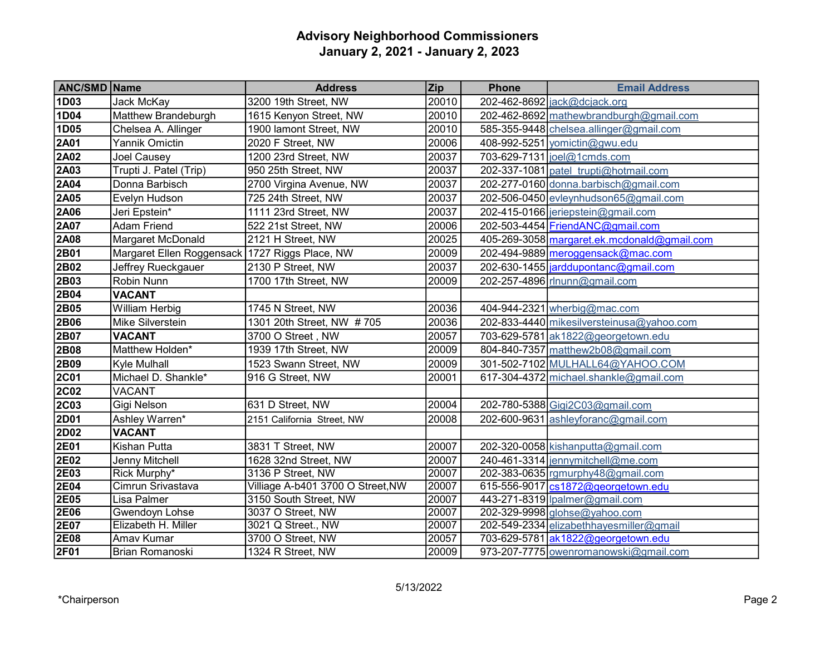| <b>ANC/SMD Name</b> |                                                | <b>Address</b>                    | <b>Zip</b> | <b>Phone</b> | <b>Email Address</b>                        |
|---------------------|------------------------------------------------|-----------------------------------|------------|--------------|---------------------------------------------|
| 1D03                | Jack McKay                                     | 3200 19th Street, NW              | 20010      |              | 202-462-8692 jack@dcjack.org                |
| 1D04                | Matthew Brandeburgh                            | 1615 Kenyon Street, NW            | 20010      |              | 202-462-8692 mathewbrandburgh@gmail.com     |
| 1D05                | Chelsea A. Allinger                            | 1900 lamont Street, NW            | 20010      |              | 585-355-9448 chelsea.allinger@gmail.com     |
| 2A01                | Yannik Omictin                                 | 2020 F Street, NW                 | 20006      |              | 408-992-5251 yomictin@gwu.edu               |
| 2A02                | Joel Causey                                    | 1200 23rd Street, NW              | 20037      |              | 703-629-7131   joel@1cmds.com               |
| 2A03                | Trupti J. Patel (Trip)                         | 950 25th Street, NW               | 20037      |              | 202-337-1081 patel trupti@hotmail.com       |
| 2A04                | Donna Barbisch                                 | 2700 Virgina Avenue, NW           | 20037      |              | 202-277-0160 donna.barbisch@gmail.com       |
| 2A05                | Evelyn Hudson                                  | 725 24th Street, NW               | 20037      |              | 202-506-0450 evleynhudson65@gmail.com       |
| 2A06                | Jeri Epstein*                                  | 1111 23rd Street, NW              | 20037      |              | 202-415-0166 jeriepstein@gmail.com          |
| <b>2A07</b>         | <b>Adam Friend</b>                             | 522 21st Street, NW               | 20006      |              | 202-503-4454 FriendANC@gmail.com            |
| 2A08                | Margaret McDonald                              | 2121 H Street, NW                 | 20025      |              | 405-269-3058 margaret.ek.mcdonald@gmail.com |
| 2B01                | Margaret Ellen Roggensack 1727 Riggs Place, NW |                                   | 20009      |              | 202-494-9889 meroggensack@mac.com           |
| 2B02                | Jeffrey Rueckgauer                             | 2130 P Street, NW                 | 20037      |              | 202-630-1455 arddupontanc@gmail.com         |
| 2B03                | Robin Nunn                                     | 1700 17th Street, NW              | 20009      |              | 202-257-4896 rlnunn@gmail.com               |
| 2B04                | <b>VACANT</b>                                  |                                   |            |              |                                             |
| 2B05                | William Herbig                                 | 1745 N Street, NW                 | 20036      |              | 404-944-2321 wherbig@mac.com                |
| 2B06                | Mike Silverstein                               | 1301 20th Street, NW #705         | 20036      |              | 202-833-4440 mikesilversteinusa@yahoo.com   |
| 2B07                | <b>VACANT</b>                                  | 3700 O Street, NW                 | 20057      |              | 703-629-5781 ak1822@georgetown.edu          |
| 2B08                | Matthew Holden*                                | 1939 17th Street, NW              | 20009      |              | 804-840-7357 matthew 2b08@gmail.com         |
| 2B09                | Kyle Mulhall                                   | 1523 Swann Street, NW             | 20009      |              | 301-502-7102 MULHALL64@YAHOO.COM            |
| <b>2C01</b>         | Michael D. Shankle*                            | 916 G Street, NW                  | 20001      |              | 617-304-4372 michael.shankle@gmail.com      |
| <b>2C02</b>         | <b>VACANT</b>                                  |                                   |            |              |                                             |
| <b>2C03</b>         | Gigi Nelson                                    | 631 D Street, NW                  | 20004      |              | 202-780-5388 Gigi2C03@gmail.com             |
| 2D01                | Ashley Warren*                                 | 2151 California Street, NW        | 20008      |              | 202-600-9631 ashleyforanc@gmail.com         |
| 2D02                | <b>VACANT</b>                                  |                                   |            |              |                                             |
| 2E01                | Kishan Putta                                   | 3831 T Street, NW                 | 20007      |              | 202-320-0058 kishanputta@gmail.com          |
| 2E02                | Jenny Mitchell                                 | 1628 32nd Street, NW              | 20007      |              | 240-461-3314 jennymitchell@me.com           |
| 2E03                | Rick Murphy*                                   | 3136 P Street, NW                 | 20007      |              | 202-383-0635 rgmurphy48@gmail.com           |
| 2E04                | Cimrun Srivastava                              | Villiage A-b401 3700 O Street, NW | 20007      |              | 615-556-9017 cs1872@georgetown.edu          |
| 2E05                | Lisa Palmer                                    | 3150 South Street, NW             | 20007      |              | 443-271-8319  palmer@gmail.com              |
| <b>2E06</b>         | Gwendoyn Lohse                                 | 3037 O Street, NW                 | 20007      |              | 202-329-9998 glohse@yahoo.com               |
| 2E07                | Elizabeth H. Miller                            | 3021 Q Street., NW                | 20007      |              | 202-549-2334 elizabethhayesmiller@gmail     |
| 2E08                | Amav Kumar                                     | 3700 O Street, NW                 | 20057      |              | 703-629-5781 ak1822@georgetown.edu          |
| 2F01                | Brian Romanoski                                | 1324 R Street, NW                 | 20009      |              | 973-207-7775 owenromanowski@gmail.com       |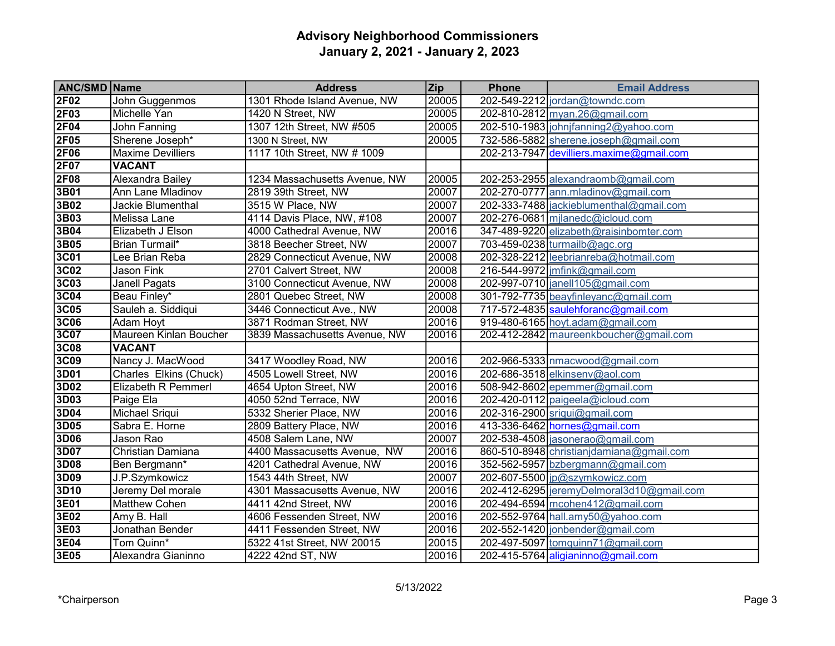| <b>ANC/SMD Name</b> |                          | <b>Address</b>                | <b>Zip</b> | <b>Phone</b> | <b>Email Address</b>                      |
|---------------------|--------------------------|-------------------------------|------------|--------------|-------------------------------------------|
| 2F02                | John Guggenmos           | 1301 Rhode Island Avenue, NW  | 20005      |              | 202-549-2212 jordan@towndc.com            |
| 2F03                | Michelle Yan             | 1420 N Street, NW             | 20005      |              | 202-810-2812 myan.26@gmail.com            |
| 2F04                | John Fanning             | 1307 12th Street, NW #505     | 20005      |              | 202-510-1983 johnjfanning2@yahoo.com      |
| 2F05                | Sherene Joseph*          | 1300 N Street, NW             | 20005      |              | 732-586-5882 sherene.joseph@gmail.com     |
| <b>2F06</b>         | <b>Maxime Devilliers</b> | 1117 10th Street, NW # 1009   |            |              | 202-213-7947 devilliers.maxime@gmail.com  |
| 2F07                | <b>VACANT</b>            |                               |            |              |                                           |
| 2F08                | Alexandra Bailey         | 1234 Massachusetts Avenue, NW | 20005      |              | 202-253-2955 alexandraomb@gmail.com       |
| 3B01                | Ann Lane Mladinov        | 2819 39th Street, NW          | 20007      |              | 202-270-0777 ann.mladinov@gmail.com       |
| 3B02                | Jackie Blumenthal        | 3515 W Place, NW              | 20007      |              | 202-333-7488 jackieblumenthal@gmail.com   |
| 3B03                | Melissa Lane             | 4114 Davis Place, NW, #108    | 20007      |              | 202-276-0681 milanedc@icloud.com          |
| 3B04                | Elizabeth J Elson        | 4000 Cathedral Avenue, NW     | 20016      |              | 347-489-9220 elizabeth@raisinbomter.com   |
| 3B05                | Brian Turmail*           | 3818 Beecher Street, NW       | 20007      |              | 703-459-0238 turmailb@agc.org             |
| 3C <sub>01</sub>    | Lee Brian Reba           | 2829 Connecticut Avenue, NW   | 20008      |              | 202-328-2212 leebrianreba@hotmail.com     |
| 3C <sub>02</sub>    | Jason Fink               | 2701 Calvert Street, NW       | 20008      |              | 216-544-9972 mfink@gmail.com              |
| <b>3C03</b>         | Janell Pagats            | 3100 Connecticut Avenue, NW   | 20008      |              | 202-997-0710 janell105@gmail.com          |
| 3C04                | Beau Finley*             | 2801 Quebec Street, NW        | 20008      |              | 301-792-7735 beayfinleyanc@gmail.com      |
| 3C05                | Sauleh a. Siddiqui       | 3446 Connecticut Ave., NW     | 20008      |              | 717-572-4835 saulehforanc@gmail.com       |
| <b>3C06</b>         | Adam Hoyt                | 3871 Rodman Street, NW        | 20016      |              | 919-480-6165 hoyt.adam@gmail.com          |
| 3C07                | Maureen Kinlan Boucher   | 3839 Massachusetts Avenue, NW | 20016      |              | 202-412-2842 maureenkboucher@gmail.com    |
| <b>3C08</b>         | <b>VACANT</b>            |                               |            |              |                                           |
| 3C09                | Nancy J. MacWood         | 3417 Woodley Road, NW         | 20016      |              | 202-966-5333 nmacwood@gmail.com           |
| 3D01                | Charles Elkins (Chuck)   | 4505 Lowell Street, NW        | 20016      |              | 202-686-3518 elkinsenv@aol.com            |
| 3D02                | Elizabeth R Pemmerl      | 4654 Upton Street, NW         | 20016      |              | 508-942-8602 epemmer@gmail.com            |
| 3D03                | Paige Ela                | 4050 52nd Terrace, NW         | 20016      |              | 202-420-0112 paigeela@icloud.com          |
| 3D04                | Michael Sriqui           | 5332 Sherier Place, NW        | 20016      |              | 202-316-2900 sriqui@gmail.com             |
| 3D05                | Sabra E. Horne           | 2809 Battery Place, NW        | 20016      |              | 413-336-6462 hornes@gmail.com             |
| 3D06                | Jason Rao                | 4508 Salem Lane, NW           | 20007      |              | $202 - 538 - 4508$ jasonerao@gmail.com    |
| 3D07                | Christian Damiana        | 4400 Massacusetts Avenue, NW  | 20016      |              | 860-510-8948 christianjdamiana@gmail.com  |
| 3D08                | Ben Bergmann*            | 4201 Cathedral Avenue, NW     | 20016      |              | 352-562-5957 bzbergmann@gmail.com         |
| 3D09                | J.P.Szymkowicz           | 1543 44th Street, NW          | 20007      |              | 202-607-5500 jp@szymkowicz.com            |
| 3D10                | Jeremy Del morale        | 4301 Massacusetts Avenue, NW  | 20016      |              | 202-412-6295 jeremyDelmoral3d10@gmail.com |
| 3E01                | Matthew Cohen            | 4411 42nd Street, NW          | 20016      |              | 202-494-6594 mcohen412@gmail.com          |
| 3E02                | Amy B. Hall              | 4606 Fessenden Street, NW     | 20016      |              | 202-552-9764 hall.amy50@yahoo.com         |
| 3E03                | Jonathan Bender          | 4411 Fessenden Street, NW     | 20016      |              | 202-552-1420 jonbender@gmail.com          |
| 3E04                | Tom Quinn*               | 5322 41st Street, NW 20015    | 20015      |              | 202-497-5097 tomquinn71@gmail.com         |
| 3E05                | Alexandra Gianinno       | 4222 42nd ST, NW              | 20016      |              | 202-415-5764 aligianinno@gmail.com        |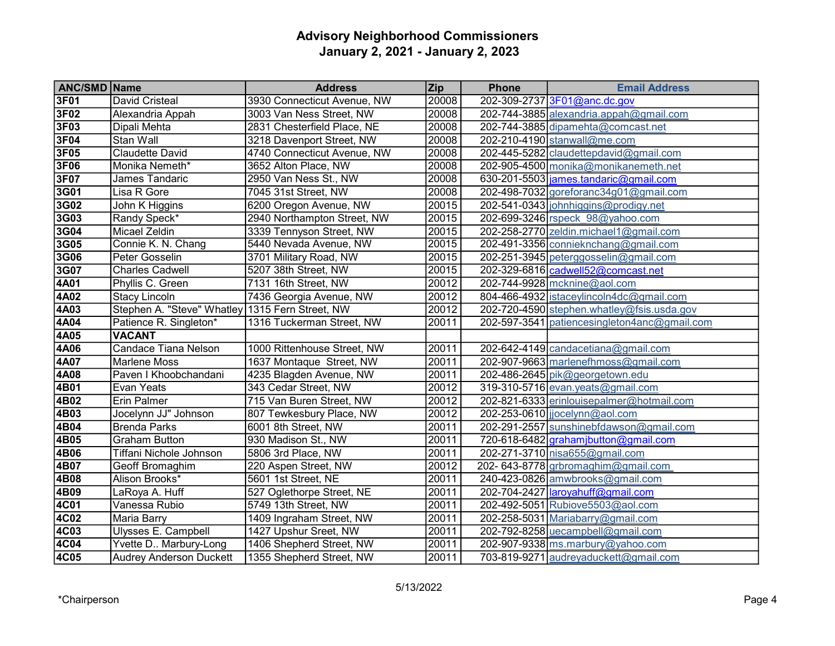| <b>ANC/SMD Name</b> |                                | <b>Address</b>              | <b>Zip</b> | <b>Phone</b> | <b>Email Address</b>                         |
|---------------------|--------------------------------|-----------------------------|------------|--------------|----------------------------------------------|
| 3F01                | <b>David Cristeal</b>          | 3930 Connecticut Avenue, NW | 20008      |              | 202-309-2737 3F01@anc.dc.gov                 |
| 3F02                | Alexandria Appah               | 3003 Van Ness Street, NW    | 20008      |              | 202-744-3885 alexandria.appah@gmail.com      |
| 3F03                | Dipali Mehta                   | 2831 Chesterfield Place, NE | 20008      |              | 202-744-3885 dipamehta@comcast.net           |
| 3F04                | Stan Wall                      | 3218 Davenport Street, NW   | 20008      |              | 202-210-4190 stanwall@me.com                 |
| 3F05                | <b>Claudette David</b>         | 4740 Connecticut Avenue, NW | 20008      |              | 202-445-5282 claudettepdavid@gmail.com       |
| 3F06                | Monika Nemeth*                 | 3652 Alton Place, NW        | 20008      |              | 202-905-4500 monika@monikanemeth.net         |
| 3F07                | James Tandaric                 | 2950 Van Ness St., NW       | 20008      |              | 630-201-5503 $ $ james.tandaric@gmail.com    |
| 3G01                | Lisa R Gore                    | 7045 31st Street, NW        | 20008      |              | 202-498-7032 goreforanc34g01@gmail.com       |
| 3G02                | John K Higgins                 | 6200 Oregon Avenue, NW      | 20015      |              | 202-541-0343 johnhiggins@prodigy.net         |
| 3G03                | Randy Speck*                   | 2940 Northampton Street, NW | 20015      |              | 202-699-3246 rspeck 98@yahoo.com             |
| 3G04                | Micael Zeldin                  | 3339 Tennyson Street, NW    | 20015      |              | 202-258-2770 zeldin.michael1@gmail.com       |
| 3G05                | Connie K. N. Chang             | 5440 Nevada Avenue, NW      | 20015      |              | 202-491-3356 connieknchang@gmail.com         |
| 3G06                | Peter Gosselin                 | 3701 Military Road, NW      | 20015      |              | 202-251-3945 peterggosselin@gmail.com        |
| 3G07                | <b>Charles Cadwell</b>         | 5207 38th Street, NW        | 20015      |              | 202-329-6816 cadwell52@comcast.net           |
| 4A01                | Phyllis C. Green               | 7131 16th Street, NW        | 20012      |              | 202-744-9928 mcknine@aol.com                 |
| 4A02                | Stacy Lincoln                  | 7436 Georgia Avenue, NW     | 20012      |              | 804-466-4932 istaceylincoln4dc@gmail.com     |
| 4A03                | Stephen A. "Steve" Whatley     | 1315 Fern Street, NW        | 20012      |              | 202-720-4590 stephen.whatley@fsis.usda.gov   |
| 4A04                | Patience R. Singleton*         | 1316 Tuckerman Street, NW   | 20011      |              | 202-597-3541 patiencesingleton4anc@gmail.com |
| 4A05                | <b>VACANT</b>                  |                             |            |              |                                              |
| 4A06                | <b>Candace Tiana Nelson</b>    | 1000 Rittenhouse Street, NW | 20011      |              | 202-642-4149 candacetiana@gmail.com          |
| 4A07                | Marlene Moss                   | 1637 Montaque Street, NW    | 20011      |              | 202-907-9663 marlenefhmoss@gmail.com         |
| 4A08                | Paven I Khoobchandani          | 4235 Blagden Avenue, NW     | 20011      |              | 202-486-2645 pik@georgetown.edu              |
| 4B01                | Evan Yeats                     | 343 Cedar Street, NW        | 20012      |              | $319-310-5716$ evan.yeats@gmail.com          |
| 4B02                | <b>Erin Palmer</b>             | 715 Van Buren Street, NW    | 20012      |              | 202-821-6333 erinlouisepalmer@hotmail.com    |
| 4B03                | Jocelynn JJ" Johnson           | 807 Tewkesbury Place, NW    | 20012      |              | 202-253-0610 jjocelynn@aol.com               |
| 4B04                | <b>Brenda Parks</b>            | 6001 8th Street, NW         | 20011      |              | 202-291-2557 sunshinebfdawson@gmail.com      |
| 4B05                | <b>Graham Button</b>           | 930 Madison St., NW         | 20011      |              | 720-618-6482 grahamjbutton@gmail.com         |
| 4B06                | Tiffani Nichole Johnson        | 5806 3rd Place, NW          | 20011      |              | 202-271-3710 nisa655@gmail.com               |
| 4B07                | Geoff Bromaghim                | 220 Aspen Street, NW        | 20012      |              | 202-643-8778 grbromaghim@gmail.com           |
| 4B08                | Alison Brooks*                 | 5601 1st Street, NE         | 20011      |              | 240-423-0826 amwbrooks@gmail.com             |
| 4B09                | LaRoya A. Huff                 | 527 Oglethorpe Street, NE   | 20011      |              | 202-704-2427   laroyahuff@gmail.com          |
| 4C01                | Vanessa Rubio                  | 5749 13th Street, NW        | 20011      |              | 202-492-5051 Rubiove5503@aol.com             |
| 4C02                | Maria Barry                    | 1409 Ingraham Street, NW    | 20011      |              | 202-258-5031 Mariabarry@gmail.com            |
| 4C03                | Ulysses E. Campbell            | 1427 Upshur Sreet, NW       | 20011      |              | 202-792-8258 uecampbell@gmail.com            |
| 4C04                | Yvette D Marbury-Long          | 1406 Shepherd Street, NW    | 20011      |              | 202-907-9338 ms.marbury@yahoo.com            |
| 4C05                | <b>Audrey Anderson Duckett</b> | 1355 Shepherd Street, NW    | 20011      |              | 703-819-9271 audreyaduckett@gmail.com        |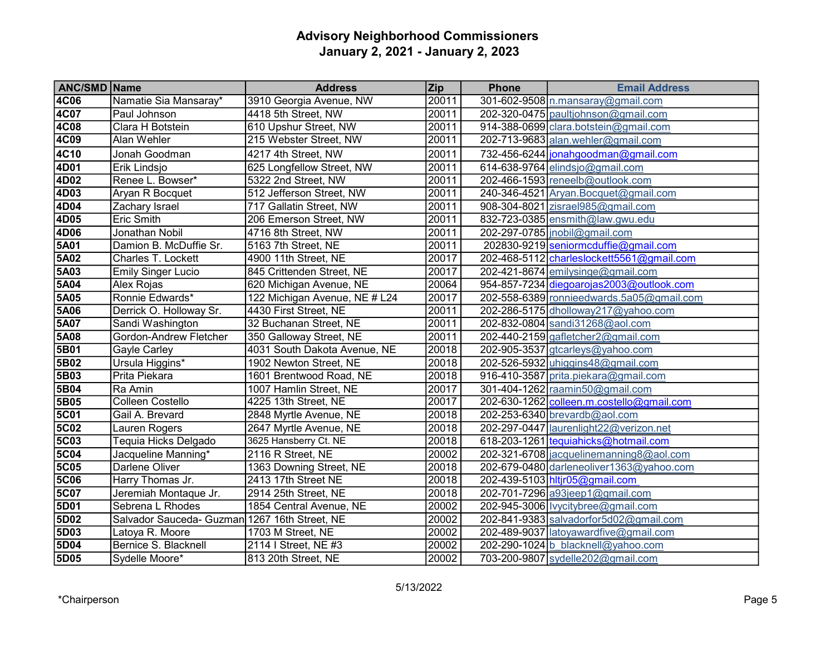| <b>ANC/SMD Name</b> |                                               | <b>Address</b>                | <b>Zip</b> | <b>Phone</b> | <b>Email Address</b>                      |
|---------------------|-----------------------------------------------|-------------------------------|------------|--------------|-------------------------------------------|
| 4C06                | Namatie Sia Mansaray*                         | 3910 Georgia Avenue, NW       | 20011      |              | 301-602-9508 n.mansaray@gmail.com         |
| 4C07                | Paul Johnson                                  | 4418 5th Street, NW           | 20011      |              | 202-320-0475 paultiohnson@gmail.com       |
| <b>4C08</b>         | Clara H Botstein                              | 610 Upshur Street, NW         | 20011      |              | 914-388-0699 clara.botstein@gmail.com     |
| 4C09                | Alan Wehler                                   | 215 Webster Street, NW        | 20011      |              | 202-713-9683 alan.wehler@gmail.com        |
| 4C10                | Jonah Goodman                                 | 4217 4th Street, NW           | 20011      |              | 732-456-6244 jonahgoodman@gmail.com       |
| 4D01                | Erik Lindsjo                                  | 625 Longfellow Street, NW     | 20011      |              | 614-638-9764 elindsjo@gmail.com           |
| 4D02                | Renee L. Bowser*                              | 5322 2nd Street, NW           | 20011      |              | 202-466-1593 reneelb@outlook.com          |
| 4D03                | Aryan R Bocquet                               | 512 Jefferson Street, NW      | 20011      |              | 240-346-4521 Aryan.Bocquet@gmail.com      |
| 4D04                | Zachary Israel                                | 717 Gallatin Street, NW       | 20011      |              | 908-304-8021 zisrael985@gmail.com         |
| 4D05                | Eric Smith                                    | 206 Emerson Street, NW        | 20011      |              | 832-723-0385 ensmith@law.gwu.edu          |
| 4D06                | Jonathan Nobil                                | 4716 8th Street, NW           | 20011      |              | 202-297-0785   inobil@gmail.com           |
| 5A01                | Damion B. McDuffie Sr.                        | 5163 7th Street, NE           | 20011      |              | 202830-9219 seniormcduffie@gmail.com      |
| 5A02                | Charles T. Lockett                            | 4900 11th Street, NE          | 20017      |              | 202-468-5112 charleslockett5561@gmail.com |
| 5A03                | <b>Emily Singer Lucio</b>                     | 845 Crittenden Street, NE     | 20017      |              | 202-421-8674 emilysinge@gmail.com         |
| 5A04                | Alex Rojas                                    | 620 Michigan Avenue, NE       | 20064      |              | 954-857-7234 diegoarojas2003@outlook.com  |
| 5A05                | Ronnie Edwards*                               | 122 Michigan Avenue, NE # L24 | 20017      |              | 202-558-6389 ronnieedwards.5a05@gmail.com |
| 5A06                | Derrick O. Holloway Sr.                       | 4430 First Street, NE         | 20011      |              | 202-286-5175 dholloway 217@ yahoo.com     |
| 5A07                | Sandi Washington                              | 32 Buchanan Street, NE        | 20011      |              | 202-832-0804 sandi31268@aol.com           |
| 5A08                | Gordon-Andrew Fletcher                        | 350 Galloway Street, NE       | 20011      |              | 202-440-2159 gafletcher2@gmail.com        |
| 5B01                | <b>Gayle Carley</b>                           | 4031 South Dakota Avenue, NE  | 20018      |              | 202-905-3537 gtcarleys@yahoo.com          |
| 5B02                | Ursula Higgins*                               | 1902 Newton Street, NE        | 20018      |              | 202-526-5932 uhiggins48@gmail.com         |
| 5B03                | Prita Piekara                                 | 1601 Brentwood Road, NE       | 20018      |              | 916-410-3587 prita.piekara@gmail.com      |
| 5B04                | Ra Amin                                       | 1007 Hamlin Street, NE        | 20017      |              | 301-404-1262 raamin50@gmail.com           |
| 5B05                | <b>Colleen Costello</b>                       | 4225 13th Street, NE          | 20017      |              | 202-630-1262 colleen.m.costello@gmail.com |
| <b>5C01</b>         | Gail A. Brevard                               | 2848 Myrtle Avenue, NE        | 20018      |              | 202-253-6340 brevardb@aol.com             |
| <b>5C02</b>         | Lauren Rogers                                 | 2647 Myrtle Avenue, NE        | 20018      |              | 202-297-0447  aurenlight22@verizon.net    |
| <b>5C03</b>         | Tequia Hicks Delgado                          | 3625 Hansberry Ct. NE         | 20018      |              | 618-203-1261 tequiahicks@hotmail.com      |
| <b>5C04</b>         | Jacqueline Manning*                           | 2116 R Street, NE             | 20002      |              | 202-321-6708 jacquelinemanning8@aol.com   |
| <b>5C05</b>         | Darlene Oliver                                | 1363 Downing Street, NE       | 20018      |              | 202-679-0480 darleneoliver1363@yahoo.com  |
| <b>5C06</b>         | Harry Thomas Jr.                              | 2413 17th Street NE           | 20018      |              | 202-439-5103 hltjr05@gmail.com            |
| <b>5C07</b>         | Jeremiah Montaque Jr.                         | 2914 25th Street, NE          | 20018      |              | 202-701-7296 a93jeep1@gmail.com           |
| 5D01                | Sebrena L Rhodes                              | 1854 Central Avenue, NE       | 20002      |              | 202-945-3006 lvycitybree@gmail.com        |
| 5D02                | Salvador Sauceda- Guzman 1267 16th Street, NE |                               | 20002      |              | 202-841-9383 salvadorfor5d02@gmail.com    |
| 5D03                | Latoya R. Moore                               | 1703 M Street, NE             | 20002      |              | 202-489-9037 latoyawardfive@gmail.com     |
| 5D04                | Bernice S. Blacknell                          | 2114 I Street, NE #3          | 20002      |              | 202-290-1024 b blacknell@yahoo.com        |
| 5D05                | Sydelle Moore*                                | 813 20th Street, NE           | 20002      |              | 703-200-9807 sydelle202@gmail.com         |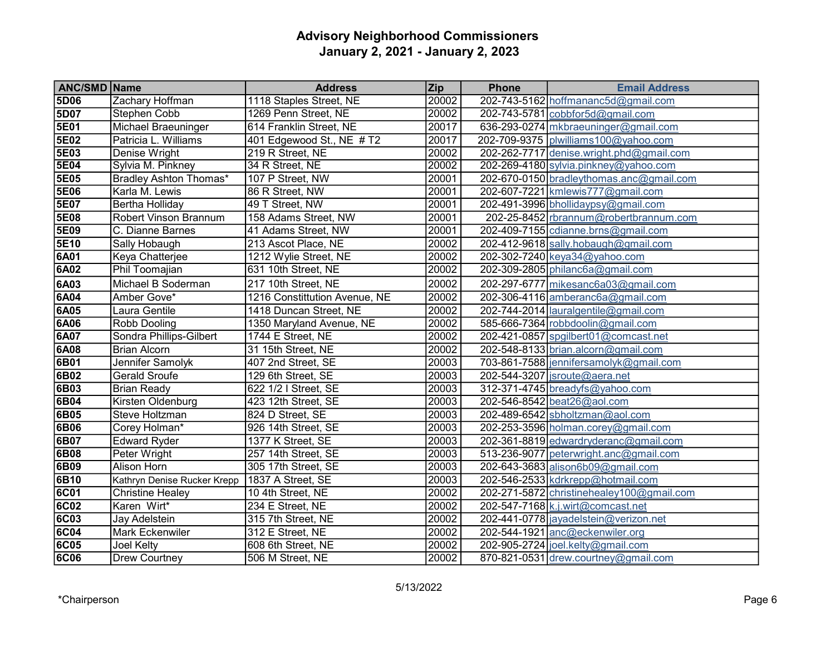| <b>ANC/SMD Name</b> |                              | <b>Address</b>                | <b>Zip</b> | <b>Phone</b> | <b>Email Address</b>                      |
|---------------------|------------------------------|-------------------------------|------------|--------------|-------------------------------------------|
| 5D06                | Zachary Hoffman              | 1118 Staples Street, NE       | 20002      |              | 202-743-5162 hoffmananc5d@gmail.com       |
| 5D07                | Stephen Cobb                 | 1269 Penn Street, NE          | 20002      |              | 202-743-5781 cobbfor5d@gmail.com          |
| 5E01                | Michael Braeuninger          | 614 Franklin Street, NE       | 20017      |              | 636-293-0274 mkbraeuninger@gmail.com      |
| 5E02                | Patricia L. Williams         | 401 Edgewood St., NE $#T2$    | 20017      |              | 202-709-9375 plwilliams100@yahoo.com      |
| 5E03                | Denise Wright                | 219 R Street, NE              | 20002      |              | 202-262-7717 denise.wright.phd@gmail.com  |
| 5E04                | Sylvia M. Pinkney            | 34 R Street, NE               | 20002      |              | 202-269-4180 sylvia.pinkney@yahoo.com     |
| 5E05                | Bradley Ashton Thomas*       | 107 P Street, NW              | 20001      |              | 202-670-0150 bradleythomas.anc@gmail.com  |
| <b>5E06</b>         | Karla M. Lewis               | 86 R Street, NW               | 20001      |              | 202-607-7221 kmlewis777@gmail.com         |
| 5E07                | Bertha Holliday              | 49 T Street, NW               | 20001      |              | 202-491-3996 bhollidaypsy@gmail.com       |
| 5E08                | <b>Robert Vinson Brannum</b> | 158 Adams Street, NW          | 20001      |              | 202-25-8452 rbrannum@robertbrannum.com    |
| 5E09                | C. Dianne Barnes             | 41 Adams Street, NW           | 20001      |              | 202-409-7155 cdianne.brns@gmail.com       |
| 5E10                | Sally Hobaugh                | 213 Ascot Place, NE           | 20002      |              | 202-412-9618 sally.hobaugh@gmail.com      |
| 6A01                | Keya Chatterjee              | 1212 Wylie Street, NE         | 20002      |              | 202-302-7240 keya34@yahoo.com             |
| 6A02                | Phil Toomajian               | 631 10th Street, NE           | 20002      |              | 202-309-2805 philanc6a@gmail.com          |
| 6A03                | Michael B Soderman           | 217 10th Street, NE           | 20002      |              | 202-297-6777 mikesanc6a03@gmail.com       |
| 6A04                | Amber Gove*                  | 1216 Constittution Avenue, NE | 20002      |              | 202-306-4116 amberanc6a@gmail.com         |
| 6A05                | Laura Gentile                | 1418 Duncan Street, NE        | 20002      |              | 202-744-2014 lauralgentile@gmail.com      |
| 6A06                | Robb Dooling                 | 1350 Maryland Avenue, NE      | 20002      |              | 585-666-7364 robbdoolin@gmail.com         |
| 6A07                | Sondra Phillips-Gilbert      | 1744 E Street, NE             | 20002      |              | 202-421-0857 spgilbert01@comcast.net      |
| 6A08                | <b>Brian Alcorn</b>          | 31 15th Street, NE            | 20002      |              | 202-548-8133 brian.alcorn@gmail.com       |
| 6B01                | Jennifer Samolyk             | 407 2nd Street, SE            | 20003      |              | 703-861-7588 jennifersamolyk@gmail.com    |
| 6B02                | <b>Gerald Sroufe</b>         | 129 6th Street, SE            | 20003      |              | 202-544-3207   jsroute@aera.net           |
| 6B03                | <b>Brian Ready</b>           | 622 1/2 I Street, SE          | 20003      |              | 312-371-4745 breadyfs@yahoo.com           |
| 6B04                | Kirsten Oldenburg            | 423 12th Street, SE           | 20003      |              | 202-546-8542 beat26@aol.com               |
| 6B05                | <b>Steve Holtzman</b>        | 824 D Street, SE              | 20003      |              | 202-489-6542 sbholtzman@aol.com           |
| 6B06                | Corey Holman*                | 926 14th Street, SE           | 20003      |              | 202-253-3596 holman.corey@gmail.com       |
| 6B07                | <b>Edward Ryder</b>          | 1377 K Street, SE             | 20003      |              | 202-361-8819 edwardryderanc@gmail.com     |
| 6B08                | Peter Wright                 | 257 14th Street, SE           | 20003      |              | 513-236-9077 peterwright.anc@gmail.com    |
| 6B09                | Alison Horn                  | 305 17th Street, SE           | 20003      |              | 202-643-3683 alison6b09@gmail.com         |
| 6B10                | Kathryn Denise Rucker Krepp  | 1837 A Street, SE             | 20003      |              | 202-546-2533 kdrkrepp@hotmail.com         |
| <b>6C01</b>         | <b>Christine Healey</b>      | 10 4th Street, NE             | 20002      |              | 202-271-5872 christinehealey100@gmail.com |
| <b>6C02</b>         | Karen Wirt*                  | 234 E Street, NE              | 20002      |              | 202-547-7168 k.j.wirt@comcast.net         |
| <b>6C03</b>         | Jay Adelstein                | 315 7th Street, NE            | 20002      |              | 202-441-0778 jayadelstein@verizon.net     |
| <b>6C04</b>         | Mark Eckenwiler              | 312 E Street, NE              | 20002      |              | 202-544-1921 anc@eckenwiler.org           |
| <b>6C05</b>         | Joel Kelty                   | 608 6th Street, NE            | 20002      |              | 202-905-2724 joel.kelty@gmail.com         |
| <b>6C06</b>         | <b>Drew Courtney</b>         | 506 M Street, NE              | 20002      |              | 870-821-0531 drew.courtney@gmail.com      |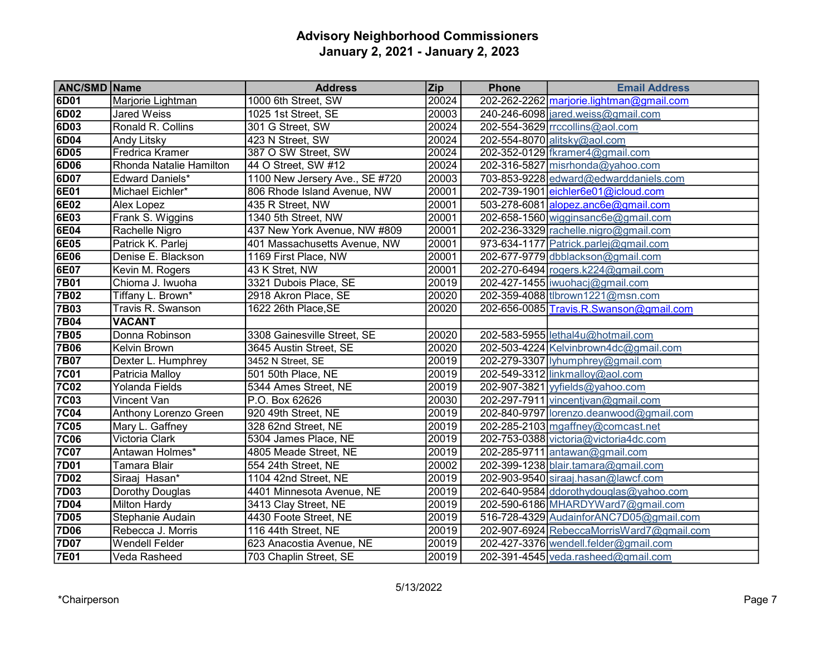| <b>ANC/SMD Name</b> |                         | <b>Address</b>                 | <b>Zip</b> | <b>Phone</b> | <b>Email Address</b>                      |
|---------------------|-------------------------|--------------------------------|------------|--------------|-------------------------------------------|
| 6D01                | Marjorie Lightman       | 1000 6th Street, SW            | 20024      |              | 202-262-2262 marjorie.lightman@gmail.com  |
| 6D02                | <b>Jared Weiss</b>      | 1025 1st Street, SE            | 20003      |              | 240-246-6098 ared.weiss@gmail.com         |
| 6D03                | Ronald R. Collins       | 301 G Street, SW               | 20024      |              | $202 - 554 - 3629$ rrccollins@aol.com     |
| 6D04                | Andy Litsky             | 423 N Street, SW               | 20024      |              | 202-554-8070 alitsky@aol.com              |
| 6D05                | <b>Fredrica Kramer</b>  | 387 O SW Street, SW            | 20024      |              | 202-352-0129 fkramer4@gmail.com           |
| 6D06                | Rhonda Natalie Hamilton | 44 O Street, SW #12            | 20024      |              | 202-316-5827 misrhonda@yahoo.com          |
| 6D07                | Edward Daniels*         | 1100 New Jersery Ave., SE #720 | 20003      |              | 703-853-9228 edward@edwarddaniels.com     |
| 6E01                | Michael Eichler*        | 806 Rhode Island Avenue, NW    | 20001      |              | 202-739-1901 eichler6e01@icloud.com       |
| 6E02                | Alex Lopez              | 435 R Street, NW               | 20001      |              | 503-278-6081 alopez.anc6e@gmail.com       |
| 6E03                | Frank S. Wiggins        | 1340 5th Street, NW            | 20001      |              | 202-658-1560 wigginsanc6e@gmail.com       |
| 6E04                | Rachelle Nigro          | 437 New York Avenue, NW #809   | 20001      |              | 202-236-3329 rachelle.nigro@gmail.com     |
| 6E05                | Patrick K. Parlej       | 401 Massachusetts Avenue, NW   | 20001      |              | 973-634-1177 Patrick.parlej@gmail.com     |
| 6E06                | Denise E. Blackson      | 1169 First Place, NW           | 20001      |              | 202-677-9779 dbblackson@gmail.com         |
| 6E07                | Kevin M. Rogers         | 43 K Stret, NW                 | 20001      |              | 202-270-6494 rogers.k224@gmail.com        |
| <b>7B01</b>         | Chioma J. Iwuoha        | 3321 Dubois Place, SE          | 20019      |              | 202-427-1455   iwuohacj@gmail.com         |
| <b>7B02</b>         | Tiffany L. Brown*       | 2918 Akron Place, SE           | 20020      |              | 202-359-4088 tlbrown1221@msn.com          |
| <b>7B03</b>         | Travis R. Swanson       | 1622 26th Place, SE            | 20020      |              | 202-656-0085 Travis.R.Swanson@gmail.com   |
| <b>7B04</b>         | <b>VACANT</b>           |                                |            |              |                                           |
| <b>7B05</b>         | Donna Robinson          | 3308 Gainesville Street, SE    | 20020      |              | 202-583-5955 lethal4u@hotmail.com         |
| <b>7B06</b>         | Kelvin Brown            | 3645 Austin Street, SE         | 20020      |              | 202-503-4224 Kelvinbrown4dc@gmail.com     |
| <b>7B07</b>         | Dexter L. Humphrey      | 3452 N Street, SE              | 20019      |              | 202-279-3307 lyhumphrey@gmail.com         |
| <b>7C01</b>         | Patricia Malloy         | 501 50th Place, NE             | 20019      |              | 202-549-3312 linkmalloy@aol.com           |
| <b>7C02</b>         | Yolanda Fields          | 5344 Ames Street, NE           | 20019      |              | 202-907-3821 yyfields@yahoo.com           |
| <b>7C03</b>         | Vincent Van             | P.O. Box 62626                 | 20030      |              | 202-297-7911 vincentjvan@gmail.com        |
| <b>7C04</b>         | Anthony Lorenzo Green   | 920 49th Street, NE            | 20019      |              | 202-840-9797 lorenzo.deanwood@gmail.com   |
| <b>7C05</b>         | Mary L. Gaffney         | 328 62nd Street, NE            | 20019      |              | 202-285-2103 mgaffney@comcast.net         |
| <b>7C06</b>         | Victoria Clark          | 5304 James Place, NE           | 20019      |              | 202-753-0388 victoria@victoria4dc.com     |
| 7C07                | Antawan Holmes*         | 4805 Meade Street, NE          | 20019      |              | 202-285-9711 antawan@gmail.com            |
| 7D01                | Tamara Blair            | 554 24th Street, NE            | 20002      |              | 202-399-1238 blair.tamara@gmail.com       |
| 7D02                | Siraaj Hasan*           | 1104 42nd Street, NE           | 20019      |              | 202-903-9540 siraaj.hasan@lawcf.com       |
| 7D03                | Dorothy Douglas         | 4401 Minnesota Avenue, NE      | 20019      |              | 202-640-9584 ddorothydouglas@yahoo.com    |
| 7D04                | Milton Hardy            | 3413 Clay Street, NE           | 20019      |              | 202-590-6186 MHARDYWard7@gmail.com        |
| 7D05                | Stephanie Audain        | 4430 Foote Street, NE          | 20019      |              | 516-728-4329 AudainforANC7D05@gmail.com   |
| <b>7D06</b>         | Rebecca J. Morris       | 116 44th Street, NE            | 20019      |              | 202-907-6924 RebeccaMorrisWard7@gmail.com |
| <b>7D07</b>         | Wendell Felder          | 623 Anacostia Avenue, NE       | 20019      |              | 202-427-3376 wendell.felder@gmail.com     |
| 7E01                | Veda Rasheed            | 703 Chaplin Street, SE         | 20019      |              | 202-391-4545 veda.rasheed@gmail.com       |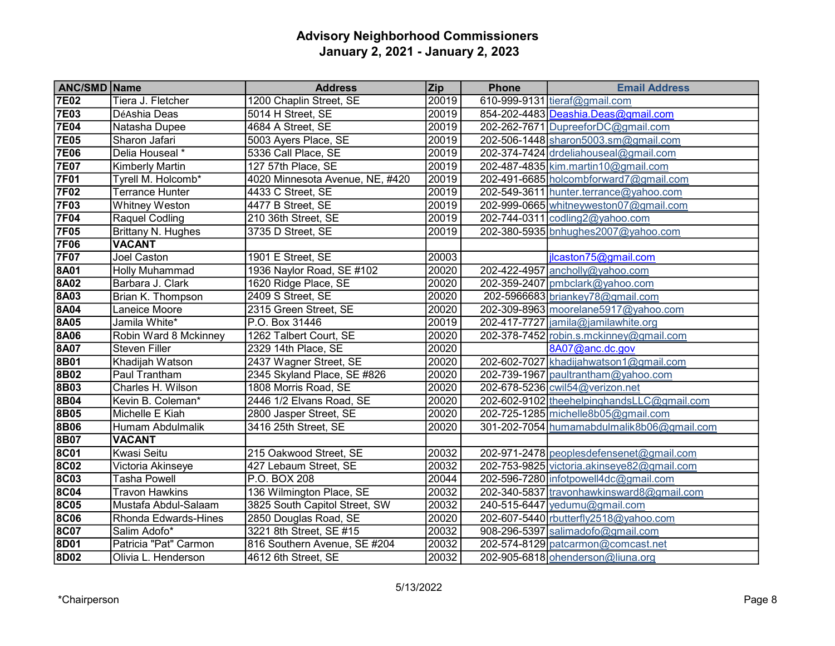| <b>ANC/SMD Name</b> |                        | <b>Address</b>                  | <b>Zip</b> | <b>Phone</b> | <b>Email Address</b>                       |
|---------------------|------------------------|---------------------------------|------------|--------------|--------------------------------------------|
| <b>7E02</b>         | Tiera J. Fletcher      | 1200 Chaplin Street, SE         | 20019      |              | 610-999-9131 tieraf@gmail.com              |
| <b>7E03</b>         | DéAshia Deas           | 5014 H Street, SE               | 20019      |              | 854-202-4483 Deashia.Deas@gmail.com        |
| <b>7E04</b>         | Natasha Dupee          | 4684 A Street, SE               | 20019      |              | 202-262-7671 DupreeforDC@gmail.com         |
| <b>7E05</b>         | Sharon Jafari          | 5003 Ayers Place, SE            | 20019      |              | 202-506-1448 sharon5003.sm@gmail.com       |
| <b>7E06</b>         | Delia Houseal *        | 5336 Call Place, SE             | 20019      |              | 202-374-7424 drdeliahouseal@gmail.com      |
| <b>7E07</b>         | <b>Kimberly Martin</b> | 127 57th Place, SE              | 20019      |              | 202-487-4835 kim.martin10@gmail.com        |
| <b>7F01</b>         | Tyrell M. Holcomb*     | 4020 Minnesota Avenue, NE, #420 | 20019      |              | 202-491-6685 holcombforward7@gmail.com     |
| <b>7F02</b>         | Terrance Hunter        | 4433 C Street, SE               | 20019      |              | 202-549-3611 hunter.terrance@yahoo.com     |
| <b>7F03</b>         | <b>Whitney Weston</b>  | 4477 B Street, SE               | 20019      |              | 202-999-0665 whitneyweston07@gmail.com     |
| <b>7F04</b>         | Raquel Codling         | 210 36th Street, SE             | 20019      |              | 202-744-0311 codling2@yahoo.com            |
| <b>7F05</b>         | Brittany N. Hughes     | 3735 D Street, SE               | 20019      |              | 202-380-5935 bnhughes2007@yahoo.com        |
| <b>7F06</b>         | <b>VACANT</b>          |                                 |            |              |                                            |
| <b>7F07</b>         | Joel Caston            | 1901 E Street, SE               | 20003      |              | jlcaston75@gmail.com                       |
| <b>8A01</b>         | <b>Holly Muhammad</b>  | 1936 Naylor Road, SE #102       | 20020      |              | 202-422-4957 ancholly@yahoo.com            |
| <b>8A02</b>         | Barbara J. Clark       | 1620 Ridge Place, SE            | 20020      |              | 202-359-2407 pmbclark@yahoo.com            |
| <b>8A03</b>         | Brian K. Thompson      | 2409 S Street, SE               | 20020      |              | 202-5966683 briankey78@gmail.com           |
| <b>8A04</b>         | Laneice Moore          | 2315 Green Street, SE           | 20020      |              | 202-309-8963 moorelane5917@yahoo.com       |
| 8A05                | Jamila White*          | P.O. Box 31446                  | 20019      |              | 202-417-7727 jamila@jamilawhite.org        |
| 8A06                | Robin Ward 8 Mckinney  | 1262 Talbert Court, SE          | 20020      |              | 202-378-7452 robin.s.mckinney@gmail.com    |
| <b>8A07</b>         | Steven Filler          | 2329 14th Place, SE             | 20020      |              | 8A07@anc.dc.gov                            |
| <b>8B01</b>         | Khadijah Watson        | 2437 Wagner Street, SE          | 20020      |              | 202-602-7027 khadijahwatson1@gmail.com     |
| <b>8B02</b>         | Paul Trantham          | 2345 Skyland Place, SE #826     | 20020      |              | 202-739-1967 paultrantham@yahoo.com        |
| <b>8B03</b>         | Charles H. Wilson      | 1808 Morris Road, SE            | 20020      |              | 202-678-5236 cwil54@verizon.net            |
| 8B04                | Kevin B. Coleman*      | 2446 1/2 Elvans Road, SE        | 20020      |              | 202-602-9102 theehelpinghandsLLC@gmail.com |
| <b>8B05</b>         | Michelle E Kiah        | 2800 Jasper Street, SE          | 20020      |              | 202-725-1285 michelle8b05@gmail.com        |
| 8B06                | Humam Abdulmalik       | 3416 25th Street, SE            | 20020      |              | 301-202-7054 humamabdulmalik8b06@gmail.com |
| 8B07                | <b>VACANT</b>          |                                 |            |              |                                            |
| <b>8C01</b>         | Kwasi Seitu            | 215 Oakwood Street, SE          | 20032      |              | 202-971-2478 peoplesdefensenet@gmail.com   |
| <b>8C02</b>         | Victoria Akinseye      | 427 Lebaum Street, SE           | 20032      |              | 202-753-9825 victoria.akinseye82@gmail.com |
| <b>8C03</b>         | Tasha Powell           | P.O. BOX 208                    | 20044      |              | 202-596-7280 infotpowell4dc@gmail.com      |
| <b>8C04</b>         | <b>Travon Hawkins</b>  | 136 Wilmington Place, SE        | 20032      |              | 202-340-5837 travonhawkinsward8@gmail.com  |
| <b>8C05</b>         | Mustafa Abdul-Salaam   | 3825 South Capitol Street, SW   | 20032      |              | 240-515-6447 yedumu@gmail.com              |
| <b>8C06</b>         | Rhonda Edwards-Hines   | 2850 Douglas Road, SE           | 20020      |              | 202-607-5440 rbutterfly 2518@yahoo.com     |
| <b>8C07</b>         | Salim Adofo*           | 3221 8th Street, SE #15         | 20032      |              | 908-296-5397 salimadofo@gmail.com          |
| 8D01                | Patricia "Pat" Carmon  | 816 Southern Avenue, SE #204    | 20032      |              | 202-574-8129 patcarmon@comcast.net         |
| 8D02                | Olivia L. Henderson    | 4612 6th Street, SE             | 20032      |              | 202-905-6818 ohenderson@liuna.org          |